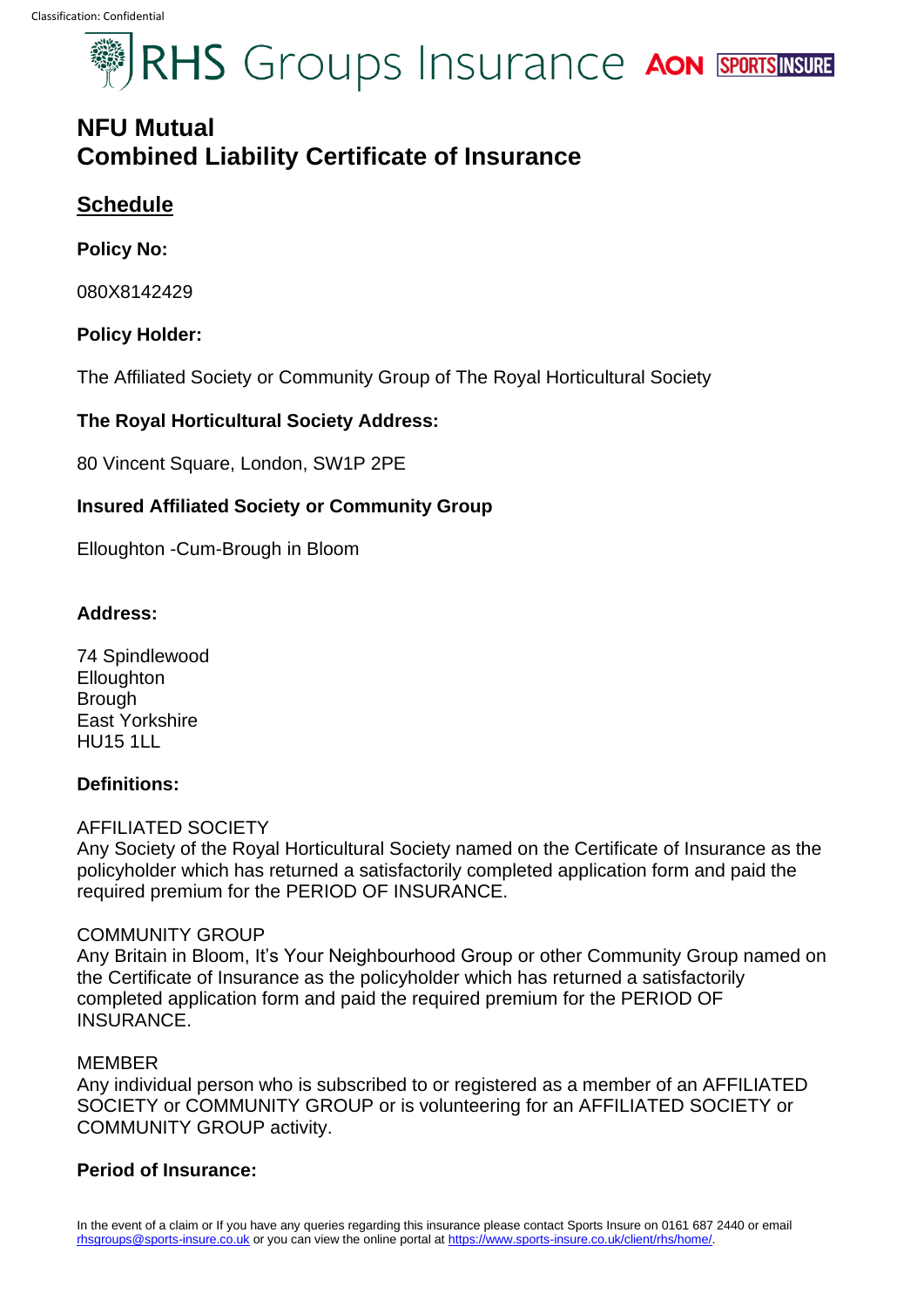# **SEXUALES** Groups Insurance AON SPORTSINSURE

### **NFU Mutual Combined Liability Certificate of Insurance**

#### **Schedule**

#### **Policy No:**

080X8142429

#### **Policy Holder:**

The Affiliated Society or Community Group of The Royal Horticultural Society

#### **The Royal Horticultural Society Address:**

80 Vincent Square, London, SW1P 2PE

#### **Insured Affiliated Society or Community Group**

Elloughton -Cum-Brough in Bloom

#### **Address:**

74 Spindlewood **Elloughton** Brough East Yorkshire HU15 1LL

#### **Definitions:**

#### AFFILIATED SOCIETY

Any Society of the Royal Horticultural Society named on the Certificate of Insurance as the policyholder which has returned a satisfactorily completed application form and paid the required premium for the PERIOD OF INSURANCE.

#### COMMUNITY GROUP

Any Britain in Bloom, It's Your Neighbourhood Group or other Community Group named on the Certificate of Insurance as the policyholder which has returned a satisfactorily completed application form and paid the required premium for the PERIOD OF INSURANCE.

#### MEMBER

Any individual person who is subscribed to or registered as a member of an AFFILIATED SOCIETY or COMMUNITY GROUP or is volunteering for an AFFILIATED SOCIETY or COMMUNITY GROUP activity.

#### **Period of Insurance:**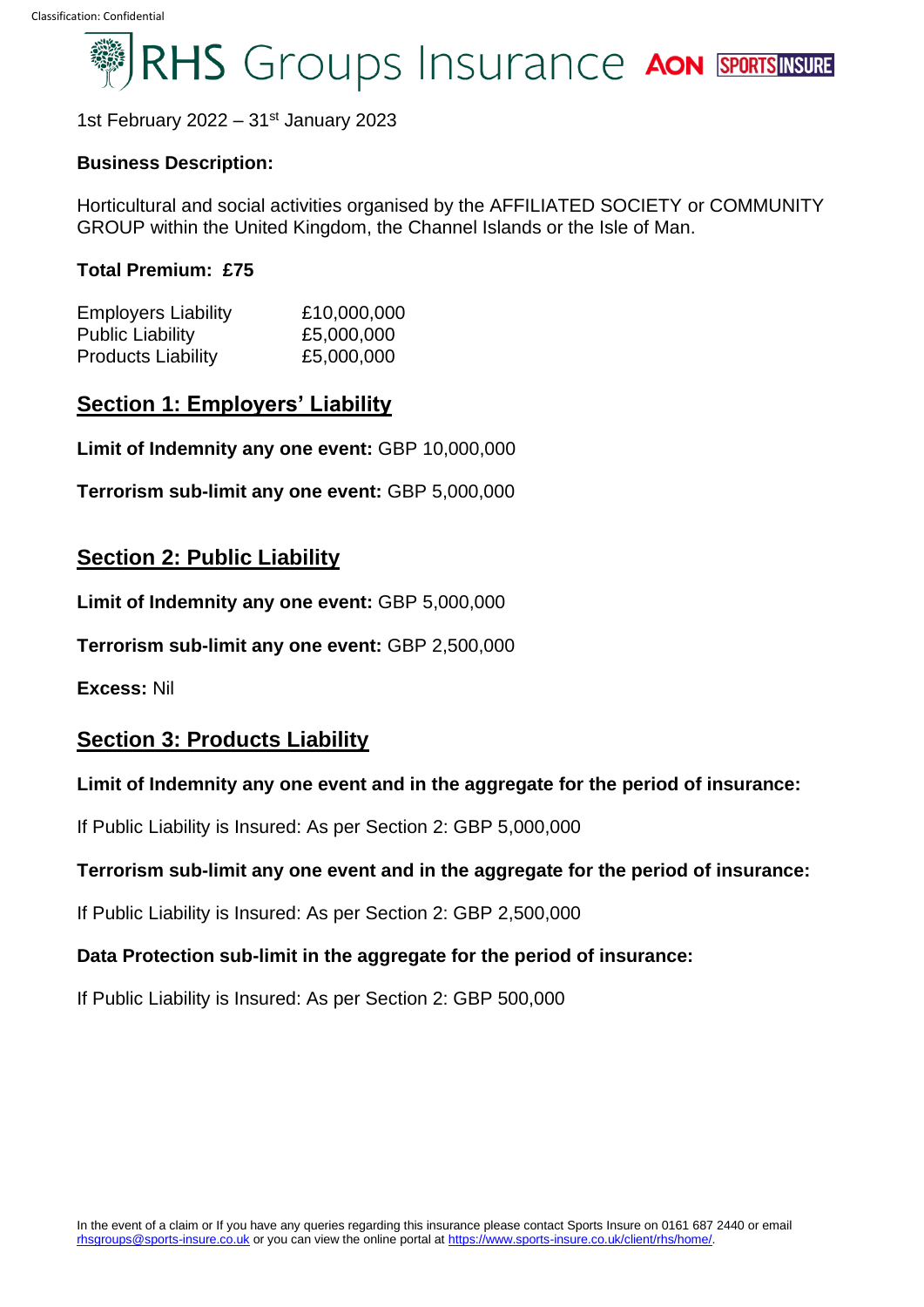## RHS Groups Insurance AON SPORTSINSURE

1st February 2022 –  $31<sup>st</sup>$  January 2023

#### **Business Description:**

Horticultural and social activities organised by the AFFILIATED SOCIETY or COMMUNITY GROUP within the United Kingdom, the Channel Islands or the Isle of Man.

#### **Total Premium: £75**

| <b>Employers Liability</b><br><b>Public Liability</b> | £10,000,000<br>£5,000,000 |  |
|-------------------------------------------------------|---------------------------|--|
|                                                       |                           |  |

#### **Section 1: Employers' Liability**

**Limit of Indemnity any one event:** GBP 10,000,000

**Terrorism sub-limit any one event:** GBP 5,000,000

#### **Section 2: Public Liability**

**Limit of Indemnity any one event:** GBP 5,000,000

**Terrorism sub-limit any one event:** GBP 2,500,000

**Excess:** Nil

#### **Section 3: Products Liability**

#### **Limit of Indemnity any one event and in the aggregate for the period of insurance:**

If Public Liability is Insured: As per Section 2: GBP 5,000,000

#### **Terrorism sub-limit any one event and in the aggregate for the period of insurance:**

If Public Liability is Insured: As per Section 2: GBP 2,500,000

#### **Data Protection sub-limit in the aggregate for the period of insurance:**

If Public Liability is Insured: As per Section 2: GBP 500,000